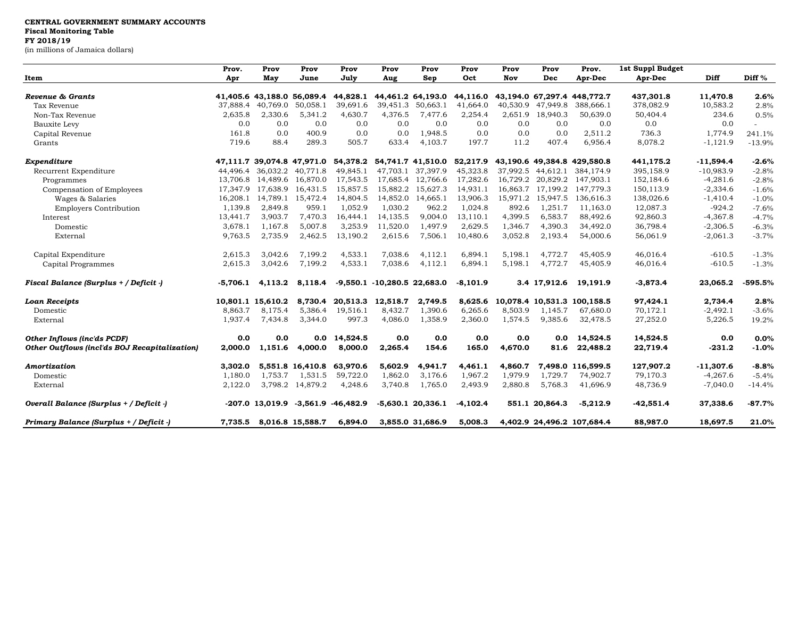| Item                                          | Prov.<br>Apr | Prov<br>May                | Prov<br>June      | Prov<br>July           | Prov<br>Aug                     | Prov<br>Sep         | Prov<br>Oct | Prov<br>Nov | Prov<br>Dec       | Prov.<br>Apr-Dec            | 1st Suppl Budget<br>Apr-Dec | Diff        | Diff %    |
|-----------------------------------------------|--------------|----------------------------|-------------------|------------------------|---------------------------------|---------------------|-------------|-------------|-------------------|-----------------------------|-----------------------------|-------------|-----------|
|                                               |              |                            |                   |                        |                                 |                     |             |             |                   |                             |                             |             |           |
| Revenue & Grants                              |              | 41,405.6 43,188.0 56,089.4 |                   | 44,828.1               |                                 | 44,461.2 64,193.0   | 44,116.0    |             |                   | 43,194.0 67,297.4 448,772.7 | 437,301.8                   | 11,470.8    | 2.6%      |
| Tax Revenue                                   | 37,888.4     | 40,769.0                   | 50,058.1          | 39,691.6               | 39,451.3                        | 50,663.1            | 41,664.0    | 40,530.9    | 47,949.8          | 388,666.1                   | 378,082.9                   | 10,583.2    | 2.8%      |
| Non-Tax Revenue                               | 2,635.8      | 2,330.6                    | 5,341.2           | 4,630.7                | 4,376.5                         | 7,477.6             | 2,254.4     | 2,651.9     | 18,940.3          | 50,639.0                    | 50,404.4                    | 234.6       | 0.5%      |
| <b>Bauxite Levy</b>                           | 0.0          | 0.0                        | 0.0               | 0.0                    | 0.0                             | 0.0                 | 0.0         | 0.0         | 0.0               | 0.0                         | 0.0                         | 0.0         |           |
| Capital Revenue                               | 161.8        | 0.0                        | 400.9             | 0.0                    | 0.0                             | 1.948.5             | 0.0         | 0.0         | 0.0               | 2,511.2                     | 736.3                       | 1,774.9     | 241.1%    |
| Grants                                        | 719.6        | 88.4                       | 289.3             | 505.7                  | 633.4                           | 4,103.7             | 197.7       | 11.2        | 407.4             | 6,956.4                     | 8,078.2                     | $-1,121.9$  | $-13.9%$  |
| Expenditure                                   |              | 47,111.7 39,074.8 47,971.0 |                   |                        | 54,378.2 54,741.7 41,510.0      |                     | 52,217.9    |             |                   | 43,190.6 49,384.8 429,580.8 | 441,175.2                   | $-11,594.4$ | $-2.6%$   |
| Recurrent Expenditure                         |              | 44,496.4 36,032.2          | 40.771.8          | 49,845.1               | 47.703.1                        | 37,397.9            | 45,323.8    | 37,992.5    | 44.612.1          | 384,174.9                   | 395,158.9                   | $-10,983.9$ | $-2.8%$   |
| Programmes                                    | 13,706.8     | 14,489.6 16,870.0          |                   | 17,543.5               |                                 | 17,685.4 12,766.6   | 17,282.6    |             | 16,729.2 20,829.2 | 147,903.1                   | 152,184.6                   | $-4,281.6$  | $-2.8%$   |
| Compensation of Employees                     | 17.347.9     |                            | 17,638.9 16,431.5 | 15,857.5               |                                 | 15,882.2 15,627.3   | 14,931.1    |             |                   | 16,863.7 17,199.2 147,779.3 | 150,113.9                   | $-2,334.6$  | $-1.6%$   |
| Wages & Salaries                              | 16,208.1     |                            | 14,789.1 15,472.4 | 14,804.5               |                                 | 14,852.0 14,665.1   | 13,906.3    |             | 15,971.2 15,947.5 | 136,616.3                   | 138,026.6                   | $-1,410.4$  | $-1.0%$   |
| <b>Employers Contribution</b>                 | 1,139.8      | 2,849.8                    | 959.1             | 1,052.9                | 1,030.2                         | 962.2               | 1,024.8     | 892.6       | 1,251.7           | 11,163.0                    | 12,087.3                    | $-924.2$    | $-7.6%$   |
| Interest                                      | 13,441.7     | 3,903.7                    | 7,470.3           | 16,444.1               | 14,135.5                        | 9,004.0             | 13,110.1    | 4,399.5     | 6,583.7           | 88,492.6                    | 92,860.3                    | $-4,367.8$  | $-4.7%$   |
| Domestic                                      | 3,678.1      | 1,167.8                    | 5,007.8           | 3,253.9                | 11,520.0                        | 1,497.9             | 2,629.5     | 1,346.7     | 4,390.3           | 34,492.0                    | 36,798.4                    | $-2,306.5$  | $-6.3%$   |
| External                                      | 9,763.5      | 2,735.9                    | 2,462.5           | 13,190.2               | 2,615.6                         | 7,506.1             | 10,480.6    | 3,052.8     | 2,193.4           | 54,000.6                    | 56,061.9                    | $-2,061.3$  | $-3.7%$   |
| Capital Expenditure                           | 2,615.3      | 3,042.6                    | 7,199.2           | 4,533.1                | 7,038.6                         | 4,112.1             | 6,894.1     | 5,198.1     | 4,772.7           | 45,405.9                    | 46,016.4                    | $-610.5$    | $-1.3%$   |
| Capital Programmes                            | 2,615.3      | 3,042.6                    | 7,199.2           | 4,533.1                | 7,038.6                         | 4,112.1             | 6,894.1     | 5,198.1     | 4,772.7           | 45,405.9                    | 46,016.4                    | $-610.5$    | $-1.3%$   |
| Fiscal Balance (Surplus + / Deficit -)        | $-5,706.1$   | 4,113.2                    | 8,118.4           |                        | $-9,550.1$ $-10,280.5$ 22,683.0 |                     | $-8,101.9$  |             | 3.4 17,912.6      | 19,191.9                    | $-3,873.4$                  | 23,065.2    | $-595.5%$ |
| <b>Loan Receipts</b>                          |              | 10,801.1 15,610.2          | 8,730.4           | 20,513.3               | 12,518.7                        | 2,749.5             | 8,625.6     |             |                   | 10,078.4 10,531.3 100,158.5 | 97,424.1                    | 2,734.4     | 2.8%      |
| Domestic                                      | 8,863.7      | 8,175.4                    | 5,386.4           | 19,516.1               | 8,432.7                         | 1,390.6             | 6,265.6     | 8,503.9     | 1,145.7           | 67,680.0                    | 70,172.1                    | $-2,492.1$  | $-3.6%$   |
| External                                      | 1,937.4      | 7,434.8                    | 3,344.0           | 997.3                  | 4,086.0                         | 1,358.9             | 2,360.0     | 1,574.5     | 9,385.6           | 32,478.5                    | 27,252.0                    | 5,226.5     | 19.2%     |
| <b>Other Inflows (inc'ds PCDF)</b>            | 0.0          | 0.0                        | 0.0               | 14,524.5               | 0.0                             | 0.0                 | 0.0         | 0.0         | 0.0               | 14,524.5                    | 14,524.5                    | 0.0         | 0.0%      |
| Other Outflows (incl'ds BOJ Recapitalization) | 2,000.0      | 1,151.6                    | 4,000.0           | 8,000.0                | 2,265.4                         | 154.6               | 165.0       | 4,670.0     | 81.6              | 22,488.2                    | 22,719.4                    | $-231.2$    | $-1.0%$   |
| Amortization                                  | 3.302.0      |                            | 5,551.8 16,410.8  | 63,970.6               | 5,602.9                         | 4,941.7             | 4,461.1     | 4,860.7     |                   | 7,498.0 116,599.5           | 127,907.2                   | $-11,307.6$ | $-8.8%$   |
| Domestic                                      | 1,180.0      | 1,753.7                    | 1,531.5           | 59,722.0               | 1,862.0                         | 3,176.6             | 1,967.2     | 1,979.9     | 1,729.7           | 74,902.7                    | 79,170.3                    | $-4,267.6$  | $-5.4%$   |
| External                                      | 2,122.0      |                            | 3,798.2 14,879.2  | 4,248.6                | 3,740.8                         | 1,765.0             | 2,493.9     | 2,880.8     | 5,768.3           | 41,696.9                    | 48,736.9                    | $-7,040.0$  | $-14.4%$  |
| Overall Balance (Surplus + / Deficit -)       |              | -207.0 13,019.9            |                   | $-3,561.9$ $-46,482.9$ |                                 | $-5,630.1$ 20,336.1 | $-4,102.4$  |             | 551.1 20.864.3    | $-5,212.9$                  | $-42,551.4$                 | 37,338.6    | $-87.7%$  |
| Primary Balance (Surplus + / Deficit -)       | 7,735.5      |                            | 8,016.8 15,588.7  | 6,894.0                |                                 | 3,855.0 31,686.9    | 5,008.3     |             |                   | 4,402.9 24,496.2 107,684.4  | 88,987.0                    | 18,697.5    | 21.0%     |